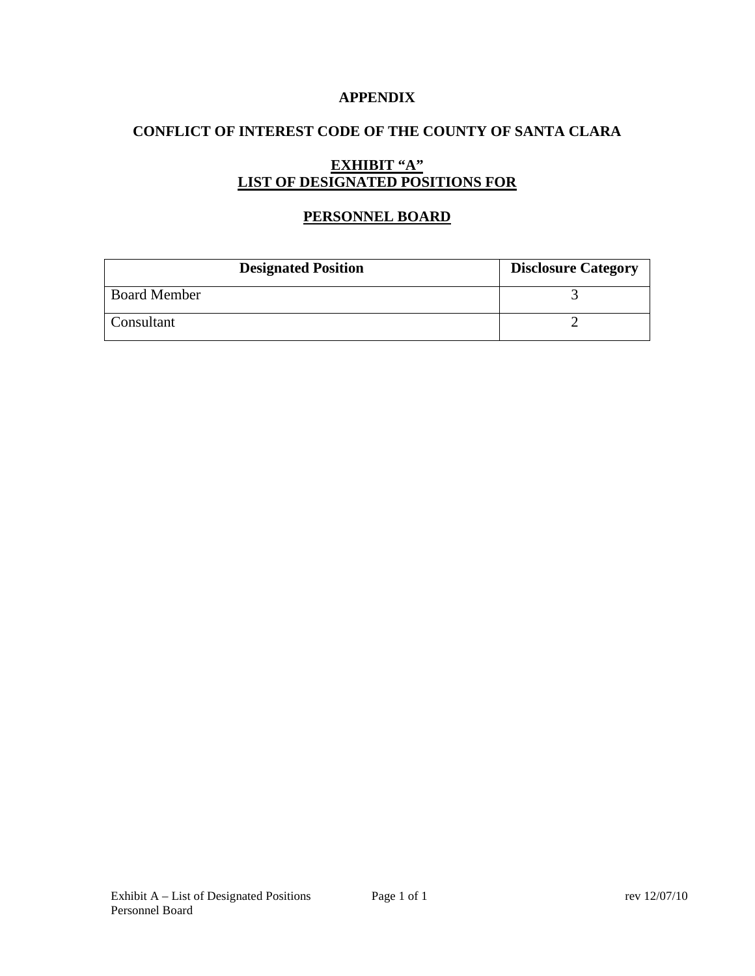### **APPENDIX**

# **CONFLICT OF INTEREST CODE OF THE COUNTY OF SANTA CLARA**

# **EXHIBIT "A" LIST OF DESIGNATED POSITIONS FOR**

# **PERSONNEL BOARD**

| <b>Designated Position</b> | <b>Disclosure Category</b> |
|----------------------------|----------------------------|
| <b>Board Member</b>        |                            |
| Consultant                 |                            |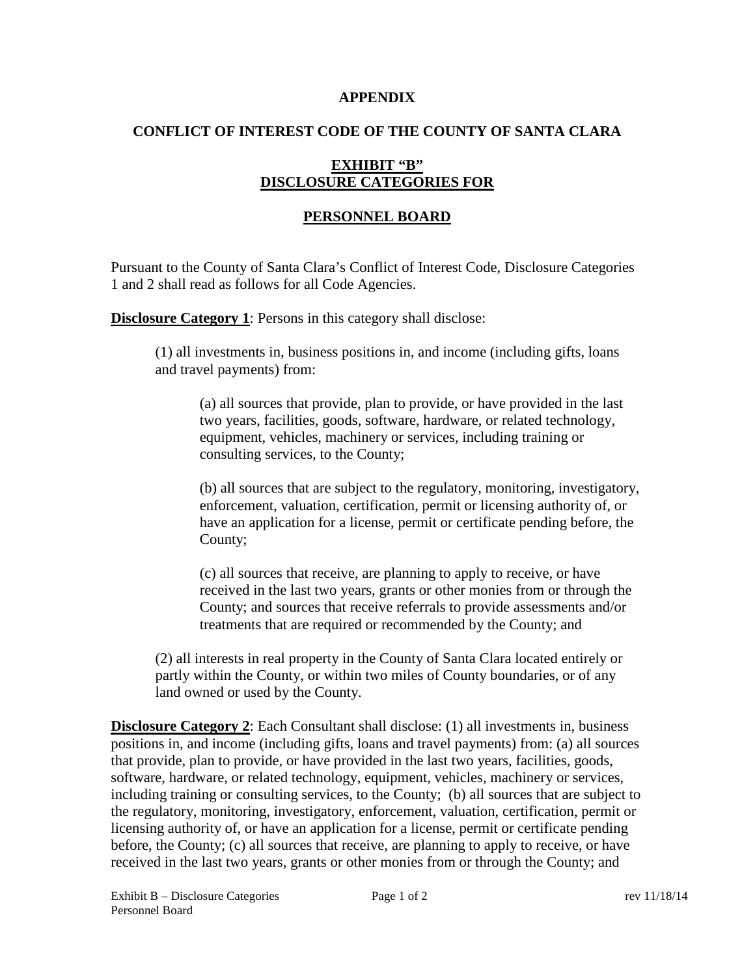#### **APPENDIX**

### **CONFLICT OF INTEREST CODE OF THE COUNTY OF SANTA CLARA**

# **EXHIBIT "B" DISCLOSURE CATEGORIES FOR**

# **PERSONNEL BOARD**

Pursuant to the County of Santa Clara's Conflict of Interest Code, Disclosure Categories 1 and 2 shall read as follows for all Code Agencies.

**Disclosure Category 1:** Persons in this category shall disclose:

(1) all investments in, business positions in, and income (including gifts, loans and travel payments) from:

(a) all sources that provide, plan to provide, or have provided in the last two years, facilities, goods, software, hardware, or related technology, equipment, vehicles, machinery or services, including training or consulting services, to the County;

(b) all sources that are subject to the regulatory, monitoring, investigatory, enforcement, valuation, certification, permit or licensing authority of, or have an application for a license, permit or certificate pending before, the County;

(c) all sources that receive, are planning to apply to receive, or have received in the last two years, grants or other monies from or through the County; and sources that receive referrals to provide assessments and/or treatments that are required or recommended by the County; and

(2) all interests in real property in the County of Santa Clara located entirely or partly within the County, or within two miles of County boundaries, or of any land owned or used by the County.

**Disclosure Category 2:** Each Consultant shall disclose: (1) all investments in, business positions in, and income (including gifts, loans and travel payments) from: (a) all sources that provide, plan to provide, or have provided in the last two years, facilities, goods, software, hardware, or related technology, equipment, vehicles, machinery or services, including training or consulting services, to the County; (b) all sources that are subject to the regulatory, monitoring, investigatory, enforcement, valuation, certification, permit or licensing authority of, or have an application for a license, permit or certificate pending before, the County; (c) all sources that receive, are planning to apply to receive, or have received in the last two years, grants or other monies from or through the County; and